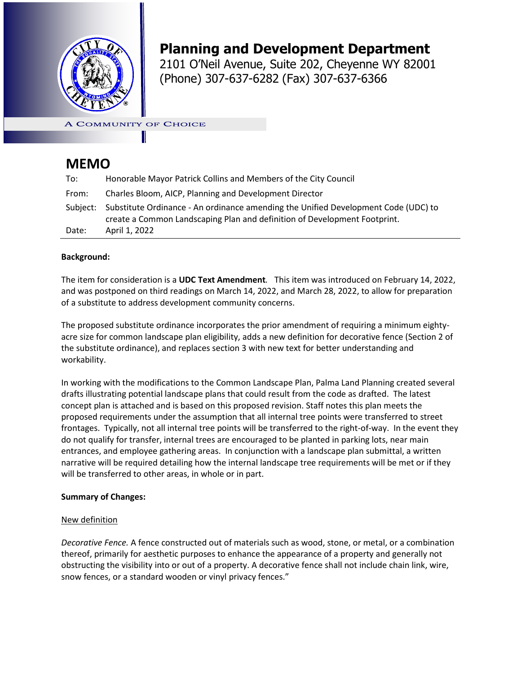

# **Planning and Development Department**

**Planning and Development Office** 2101 O'Neil Avenue, Suite 202, Cheyenne WY 82001 (Phone) 307-637-6282 (Fax) 307-637-6366

**A COMMUNITY OF CHOICE** 

# **MEMO**

| To:      | Honorable Mayor Patrick Collins and Members of the City Council                                                                                                 |
|----------|-----------------------------------------------------------------------------------------------------------------------------------------------------------------|
| From:    | Charles Bloom, AICP, Planning and Development Director                                                                                                          |
| Subiect: | Substitute Ordinance - An ordinance amending the Unified Development Code (UDC) to<br>create a Common Landscaping Plan and definition of Development Footprint. |
| Date:    | April 1, 2022                                                                                                                                                   |

## **Background:**

The item for consideration is a **UDC Text Amendment***.* This item was introduced on February 14, 2022, and was postponed on third readings on March 14, 2022, and March 28, 2022, to allow for preparation of a substitute to address development community concerns.

The proposed substitute ordinance incorporates the prior amendment of requiring a minimum eightyacre size for common landscape plan eligibility, adds a new definition for decorative fence (Section 2 of the substitute ordinance), and replaces section 3 with new text for better understanding and workability.

In working with the modifications to the Common Landscape Plan, Palma Land Planning created several drafts illustrating potential landscape plans that could result from the code as drafted. The latest concept plan is attached and is based on this proposed revision. Staff notes this plan meets the proposed requirements under the assumption that all internal tree points were transferred to street frontages. Typically, not all internal tree points will be transferred to the right-of-way. In the event they do not qualify for transfer, internal trees are encouraged to be planted in parking lots, near main entrances, and employee gathering areas. In conjunction with a landscape plan submittal, a written narrative will be required detailing how the internal landscape tree requirements will be met or if they will be transferred to other areas, in whole or in part.

## **Summary of Changes:**

## New definition

*Decorative Fence.* A fence constructed out of materials such as wood, stone, or metal, or a combination thereof, primarily for aesthetic purposes to enhance the appearance of a property and generally not obstructing the visibility into or out of a property. A decorative fence shall not include chain link, wire, snow fences, or a standard wooden or vinyl privacy fences."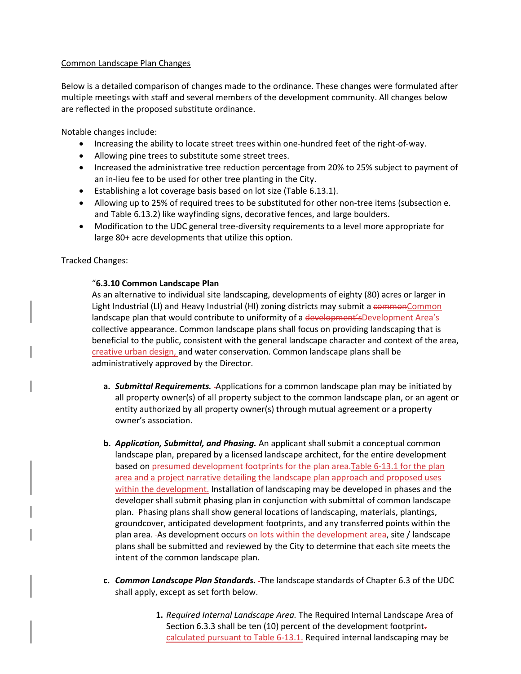### Common Landscape Plan Changes

Below is a detailed comparison of changes made to the ordinance. These changes were formulated after multiple meetings with staff and several members of the development community. All changes below are reflected in the proposed substitute ordinance.

Notable changes include:

- Increasing the ability to locate street trees within one-hundred feet of the right-of-way.
- Allowing pine trees to substitute some street trees.
- Increased the administrative tree reduction percentage from 20% to 25% subject to payment of an in-lieu fee to be used for other tree planting in the City.
- Establishing a lot coverage basis based on lot size (Table 6.13.1).
- Allowing up to 25% of required trees to be substituted for other non-tree items (subsection e. and Table 6.13.2) like wayfinding signs, decorative fences, and large boulders.
- Modification to the UDC general tree-diversity requirements to a level more appropriate for large 80+ acre developments that utilize this option.

Tracked Changes:

## "**6.3.10 Common Landscape Plan**

As an alternative to individual site landscaping, developments of eighty (80) acres or larger in Light Industrial (LI) and Heavy Industrial (HI) zoning districts may submit a commonCommon landscape plan that would contribute to uniformity of a development'sDevelopment Area's collective appearance. Common landscape plans shall focus on providing landscaping that is beneficial to the public, consistent with the general landscape character and context of the area, creative urban design, and water conservation. Common landscape plans shall be administratively approved by the Director.

- **a.** *Submittal Requirements.* -Applications for a common landscape plan may be initiated by all property owner(s) of all property subject to the common landscape plan, or an agent or entity authorized by all property owner(s) through mutual agreement or a property owner's association.
- **b.** *Application, Submittal, and Phasing.* An applicant shall submit a conceptual common landscape plan, prepared by a licensed landscape architect, for the entire development based on presumed development footprints for the plan area.Table 6-13.1 for the plan area and a project narrative detailing the landscape plan approach and proposed uses within the development. Installation of landscaping may be developed in phases and the developer shall submit phasing plan in conjunction with submittal of common landscape plan. Phasing plans shall show general locations of landscaping, materials, plantings, groundcover, anticipated development footprints, and any transferred points within the plan area. As development occurs on lots within the development area, site / landscape plans shall be submitted and reviewed by the City to determine that each site meets the intent of the common landscape plan.
- **c.** *Common Landscape Plan Standards.* The landscape standards of Chapter 6.3 of the UDC shall apply, except as set forth below.
	- **1.** *Required Internal Landscape Area.* The Required Internal Landscape Area of Section 6.3.3 shall be ten (10) percent of the development footprintcalculated pursuant to Table 6-13.1. Required internal landscaping may be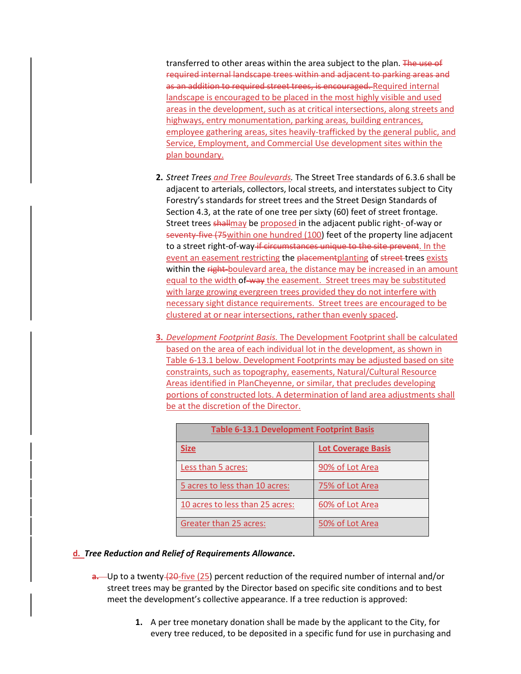transferred to other areas within the area subject to the plan. The use of required internal landscape trees within and adjacent to parking areas and as an addition to required street trees, is encouraged. Required internal landscape is encouraged to be placed in the most highly visible and used areas in the development, such as at critical intersections, along streets and highways, entry monumentation, parking areas, building entrances, employee gathering areas, sites heavily-trafficked by the general public, and Service, Employment, and Commercial Use development sites within the plan boundary.

- **2.** *Street Trees and Tree Boulevards.* The Street Tree standards of 6.3.6 shall be adjacent to arterials, collectors, local streets, and interstates subject to City Forestry's standards for street trees and the Street Design Standards of Section 4.3, at the rate of one tree per sixty (60) feet of street frontage. Street trees shallmay be proposed in the adjacent public right- of-way or seventy-five (75within one hundred (100) feet of the property line adjacent to a street right-of-way if circumstances unique to the site prevent. In the event an easement restricting the placementplanting of street-trees exists within the right-boulevard area, the distance may be increased in an amount equal to the width of-way the easement. Street trees may be substituted with large growing evergreen trees provided they do not interfere with necessary sight distance requirements. Street trees are encouraged to be clustered at or near intersections, rather than evenly spaced.
- **3.** *Development Footprint Basis.* The Development Footprint shall be calculated based on the area of each individual lot in the development, as shown in Table 6-13.1 below. Development Footprints may be adjusted based on site constraints, such as topography, easements, Natural/Cultural Resource Areas identified in PlanCheyenne, or similar, that precludes developing portions of constructed lots. A determination of land area adjustments shall be at the discretion of the Director.

| <b>Table 6-13.1 Development Footprint Basis</b> |                           |  |  |  |
|-------------------------------------------------|---------------------------|--|--|--|
| <b>Size</b>                                     | <b>Lot Coverage Basis</b> |  |  |  |
| Less than 5 acres:                              | 90% of Lot Area           |  |  |  |
| 5 acres to less than 10 acres:                  | 75% of Lot Area           |  |  |  |
| 10 acres to less than 25 acres:                 | 60% of Lot Area           |  |  |  |
| <b>Greater than 25 acres:</b>                   | 50% of Lot Area           |  |  |  |

#### **d.** *Tree Reduction and Relief of Requirements Allowance***.**

- **a.** Up to a twenty (20-five (25) percent reduction of the required number of internal and/or street trees may be granted by the Director based on specific site conditions and to best meet the development's collective appearance. If a tree reduction is approved:
	- **1.** A per tree monetary donation shall be made by the applicant to the City, for every tree reduced, to be deposited in a specific fund for use in purchasing and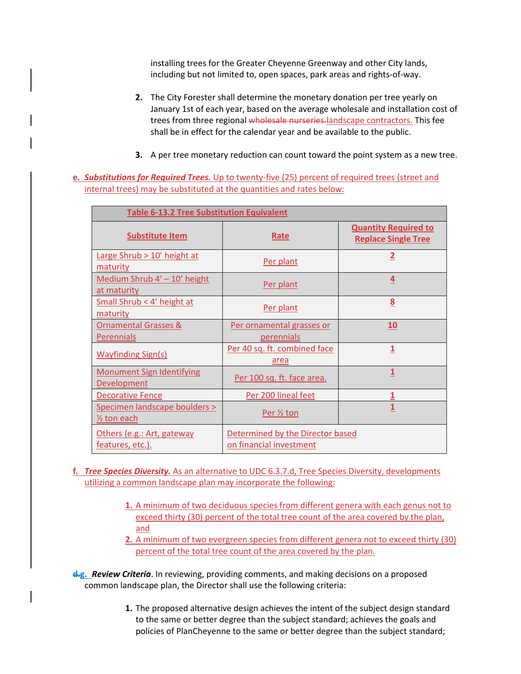installing trees for the Greater Cheyenne Greenway and other City lands, including but not limited to, open spaces, park areas and rights-of-way.

- **2.** The City Forester shall determine the monetary donation per tree yearly on January 1st of each year, based on the average wholesale and installation cost of trees from three regional wholesale nurseries.landscape contractors. This fee shall be in effect for the calendar year and be available to the public.
- **3.** A per tree monetary reduction can count toward the point system as a new tree.
- **e.** *Substitutions for Required Trees.* Up to twenty-five (25) percent of required trees (street and internal trees) may be substituted at the quantities and rates below:

| <b>Table 6-13.2 Tree Substitution Equivalent</b>                                                              |                                         |                                                           |  |  |  |
|---------------------------------------------------------------------------------------------------------------|-----------------------------------------|-----------------------------------------------------------|--|--|--|
| <b>Substitute Item</b>                                                                                        | Rate                                    | <b>Quantity Required to</b><br><b>Replace Single Tree</b> |  |  |  |
| Large Shrub > 10' height at<br>maturity                                                                       | Per plant                               | $\overline{\mathbf{2}}$                                   |  |  |  |
| Medium Shrub 4' - 10' height<br>at maturity                                                                   | Per plant                               | 4                                                         |  |  |  |
| Small Shrub < 4' height at<br>maturity                                                                        | Per plant                               | 8                                                         |  |  |  |
| <b>Ornamental Grasses &amp;</b><br>Perennials                                                                 | Per ornamental grasses or<br>perennials | 10                                                        |  |  |  |
| <b>Wayfinding Sign(s)</b>                                                                                     | Per 40 sq. ft. combined face<br>area    | $\overline{1}$                                            |  |  |  |
| <b>Monument Sign Identifying</b><br>Development                                                               | Per 100 sq. ft. face area.              | $\mathbf{1}$                                              |  |  |  |
| <b>Decorative Fence</b>                                                                                       | Per 200 lineal feet                     | 1                                                         |  |  |  |
| Specimen landscape boulders ><br>$\frac{1}{2}$ ton each                                                       | Per 1/2 ton                             | $\overline{1}$                                            |  |  |  |
| Determined by the Director based<br>Others (e.g.: Art, gateway<br>on financial investment<br>features, etc.). |                                         |                                                           |  |  |  |

- **f.** *Tree Species Diversity.* As an alternative to UDC 6.3.7.d, Tree Species Diversity, developments utilizing a common landscape plan may incorporate the following:
	- **1.** A minimum of two deciduous species from different genera with each genus not to exceed thirty (30) percent of the total tree count of the area covered by the plan, and
	- **2.** A minimum of two evergreen species from different genera not to exceed thirty (30) percent of the total tree count of the area covered by the plan.

**d.g.** *Review Criteria*. In reviewing, providing comments, and making decisions on a proposed common landscape plan, the Director shall use the following criteria:

> **1.** The proposed alternative design achieves the intent of the subject design standard to the same or better degree than the subject standard; achieves the goals and policies of PlanCheyenne to the same or better degree than the subject standard;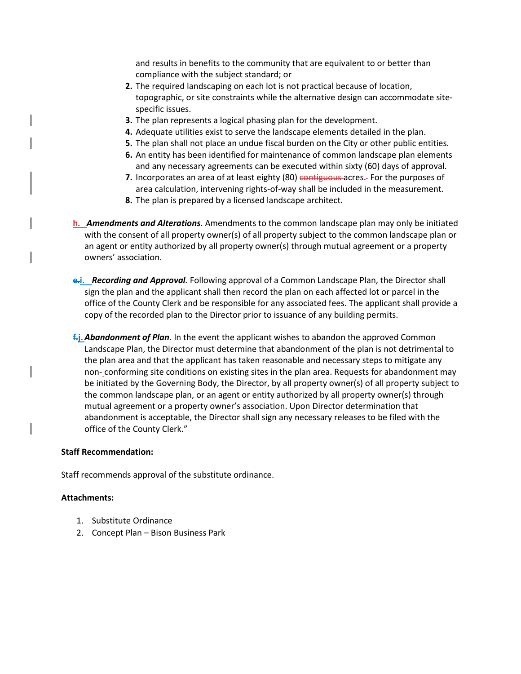and results in benefits to the community that are equivalent to or better than compliance with the subject standard; or

- **2.** The required landscaping on each lot is not practical because of location, topographic, or site constraints while the alternative design can accommodate sitespecific issues.
- **3.** The plan represents a logical phasing plan for the development.
- **4.** Adequate utilities exist to serve the landscape elements detailed in the plan.
- **5.** The plan shall not place an undue fiscal burden on the City or other public entities.
- **6.** An entity has been identified for maintenance of common landscape plan elements and any necessary agreements can be executed within sixty (60) days of approval.
- **7.** Incorporates an area of at least eighty (80) contiguous acres. For the purposes of area calculation, intervening rights-of-way shall be included in the measurement.
- **8.** The plan is prepared by a licensed landscape architect.

**h.** *Amendments and Alterations*. Amendments to the common landscape plan may only be initiated with the consent of all property owner(s) of all property subject to the common landscape plan or an agent or entity authorized by all property owner(s) through mutual agreement or a property owners' association.

- **e.i.** *Recording and Approval.* Following approval of a Common Landscape Plan, the Director shall sign the plan and the applicant shall then record the plan on each affected lot or parcel in the office of the County Clerk and be responsible for any associated fees. The applicant shall provide a copy of the recorded plan to the Director prior to issuance of any building permits.
- **f.j.** *Abandonment of Plan.* In the event the applicant wishes to abandon the approved Common Landscape Plan, the Director must determine that abandonment of the plan is not detrimental to the plan area and that the applicant has taken reasonable and necessary steps to mitigate any non- conforming site conditions on existing sites in the plan area. Requests for abandonment may be initiated by the Governing Body, the Director, by all property owner(s) of all property subject to the common landscape plan, or an agent or entity authorized by all property owner(s) through mutual agreement or a property owner's association. Upon Director determination that abandonment is acceptable, the Director shall sign any necessary releases to be filed with the office of the County Clerk."

#### **Staff Recommendation:**

Staff recommends approval of the substitute ordinance.

#### **Attachments:**

- 1. Substitute Ordinance
- 2. Concept Plan Bison Business Park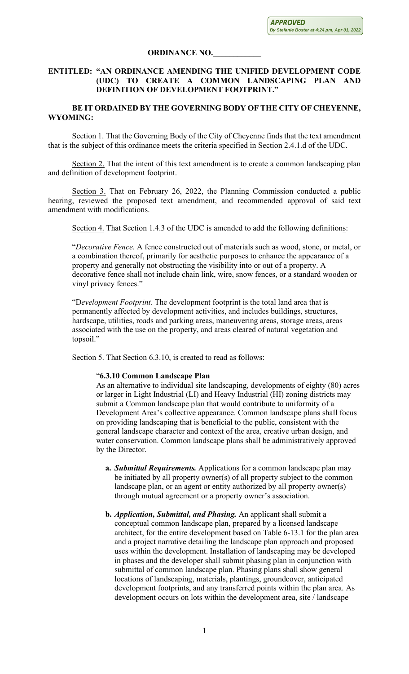## **ORDINANCE NO.\_\_\_\_\_\_\_\_\_\_\_\_**

# **ENTITLED: "AN ORDINANCE AMENDING THE UNIFIED DEVELOPMENT CODE (UDC) TO CREATE A COMMON LANDSCAPING PLAN AND DEFINITION OF DEVELOPMENT FOOTPRINT."**

# **BE IT ORDAINED BY THE GOVERNING BODY OF THE CITY OF CHEYENNE, WYOMING:**

Section 1. That the Governing Body of the City of Cheyenne finds that the text amendment that is the subject of this ordinance meets the criteria specified in Section 2.4.1.d of the UDC.

Section 2. That the intent of this text amendment is to create a common landscaping plan and definition of development footprint.

Section 3. That on February 26, 2022, the Planning Commission conducted a public hearing, reviewed the proposed text amendment, and recommended approval of said text amendment with modifications.

Section 4. That Section 1.4.3 of the UDC is amended to add the following definitions:

"*Decorative Fence.* A fence constructed out of materials such as wood, stone, or metal, or a combination thereof, primarily for aesthetic purposes to enhance the appearance of a property and generally not obstructing the visibility into or out of a property. A decorative fence shall not include chain link, wire, snow fences, or a standard wooden or vinyl privacy fences."

"D*evelopment Footprint.* The development footprint is the total land area that is permanently affected by development activities, and includes buildings, structures, hardscape, utilities, roads and parking areas, maneuvering areas, storage areas, areas associated with the use on the property, and areas cleared of natural vegetation and topsoil."

Section 5. That Section 6.3.10, is created to read as follows:

## "**6.3.10 Common Landscape Plan**

As an alternative to individual site landscaping, developments of eighty (80) acres or larger in Light Industrial (LI) and Heavy Industrial (HI) zoning districts may submit a Common landscape plan that would contribute to uniformity of a Development Area's collective appearance. Common landscape plans shall focus on providing landscaping that is beneficial to the public, consistent with the general landscape character and context of the area, creative urban design, and water conservation. Common landscape plans shall be administratively approved by the Director.

- **a.** *Submittal Requirements.* Applications for a common landscape plan may be initiated by all property owner(s) of all property subject to the common landscape plan, or an agent or entity authorized by all property owner(s) through mutual agreement or a property owner's association.
- **b.** *Application, Submittal, and Phasing.* An applicant shall submit a conceptual common landscape plan, prepared by a licensed landscape architect, for the entire development based on Table 6-13.1 for the plan area and a project narrative detailing the landscape plan approach and proposed uses within the development. Installation of landscaping may be developed in phases and the developer shall submit phasing plan in conjunction with submittal of common landscape plan. Phasing plans shall show general locations of landscaping, materials, plantings, groundcover, anticipated development footprints, and any transferred points within the plan area. As development occurs on lots within the development area, site / landscape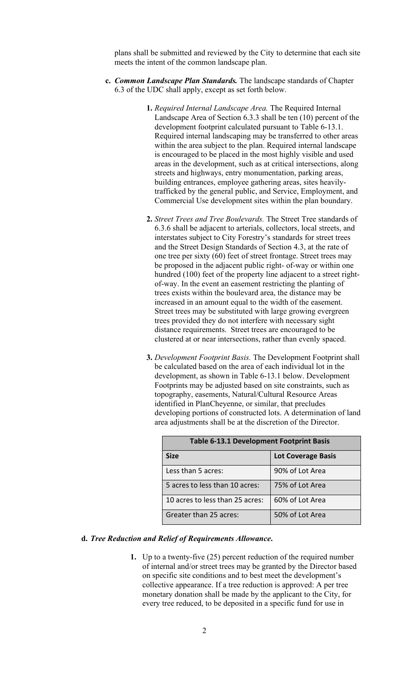plans shall be submitted and reviewed by the City to determine that each site meets the intent of the common landscape plan.

- **c.** *Common Landscape Plan Standards.* The landscape standards of Chapter 6.3 of the UDC shall apply, except as set forth below.
	- **1.** *Required Internal Landscape Area.* The Required Internal Landscape Area of Section 6.3.3 shall be ten (10) percent of the development footprint calculated pursuant to Table 6-13.1. Required internal landscaping may be transferred to other areas within the area subject to the plan. Required internal landscape is encouraged to be placed in the most highly visible and used areas in the development, such as at critical intersections, along streets and highways, entry monumentation, parking areas, building entrances, employee gathering areas, sites heavilytrafficked by the general public, and Service, Employment, and Commercial Use development sites within the plan boundary.
	- **2.** *Street Trees and Tree Boulevards.* The Street Tree standards of 6.3.6 shall be adjacent to arterials, collectors, local streets, and interstates subject to City Forestry's standards for street trees and the Street Design Standards of Section 4.3, at the rate of one tree per sixty (60) feet of street frontage. Street trees may be proposed in the adjacent public right- of-way or within one hundred (100) feet of the property line adjacent to a street rightof-way. In the event an easement restricting the planting of trees exists within the boulevard area, the distance may be increased in an amount equal to the width of the easement. Street trees may be substituted with large growing evergreen trees provided they do not interfere with necessary sight distance requirements. Street trees are encouraged to be clustered at or near intersections, rather than evenly spaced.
	- **3.** *Development Footprint Basis.* The Development Footprint shall be calculated based on the area of each individual lot in the development, as shown in Table 6-13.1 below. Development Footprints may be adjusted based on site constraints, such as topography, easements, Natural/Cultural Resource Areas identified in PlanCheyenne, or similar, that precludes developing portions of constructed lots. A determination of land area adjustments shall be at the discretion of the Director.

| <b>Table 6-13.1 Development Footprint Basis</b> |                           |  |  |  |
|-------------------------------------------------|---------------------------|--|--|--|
| <b>Size</b>                                     | <b>Lot Coverage Basis</b> |  |  |  |
| Less than 5 acres:                              | 90% of Lot Area           |  |  |  |
| 5 acres to less than 10 acres:                  | 75% of Lot Area           |  |  |  |
| 10 acres to less than 25 acres:                 | 60% of Lot Area           |  |  |  |
| Greater than 25 acres:                          | 50% of Lot Area           |  |  |  |

### **d.** *Tree Reduction and Relief of Requirements Allowance***.**

**1.** Up to a twenty-five (25) percent reduction of the required number of internal and/or street trees may be granted by the Director based on specific site conditions and to best meet the development's collective appearance. If a tree reduction is approved: A per tree monetary donation shall be made by the applicant to the City, for every tree reduced, to be deposited in a specific fund for use in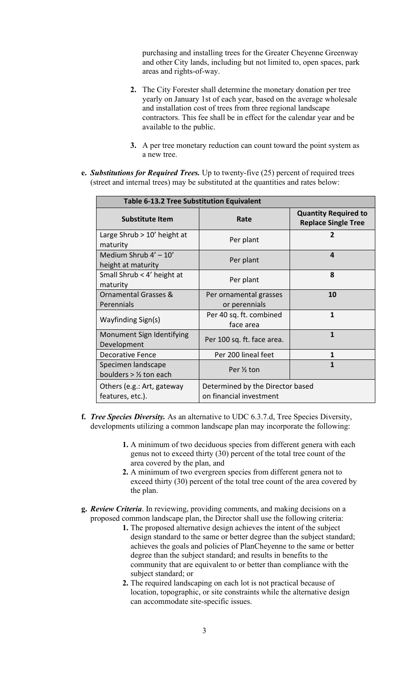purchasing and installing trees for the Greater Cheyenne Greenway and other City lands, including but not limited to, open spaces, park areas and rights-of-way.

- **2.** The City Forester shall determine the monetary donation per tree yearly on January 1st of each year, based on the average wholesale and installation cost of trees from three regional landscape contractors. This fee shall be in effect for the calendar year and be available to the public.
- **3.** A per tree monetary reduction can count toward the point system as a new tree.
- **e.** *Substitutions for Required Trees.* Up to twenty-five (25) percent of required trees (street and internal trees) may be substituted at the quantities and rates below:

| <b>Table 6-13.2 Tree Substitution Equivalent</b>                                                              |                                         |                                                           |  |  |  |  |
|---------------------------------------------------------------------------------------------------------------|-----------------------------------------|-----------------------------------------------------------|--|--|--|--|
| <b>Substitute Item</b>                                                                                        | Rate                                    | <b>Quantity Required to</b><br><b>Replace Single Tree</b> |  |  |  |  |
| Large Shrub > 10' height at<br>maturity                                                                       | Per plant                               | $\mathbf{z}$                                              |  |  |  |  |
| Medium Shrub $4' - 10'$<br>height at maturity                                                                 | Per plant                               | 4                                                         |  |  |  |  |
| Small Shrub < 4' height at<br>maturity                                                                        | Per plant                               | 8                                                         |  |  |  |  |
| <b>Ornamental Grasses &amp;</b><br>Perennials                                                                 | Per ornamental grasses<br>or perennials | 10                                                        |  |  |  |  |
| Wayfinding Sign(s)                                                                                            | Per 40 sq. ft. combined<br>face area    | 1                                                         |  |  |  |  |
| Monument Sign Identifying<br>Development                                                                      | Per 100 sq. ft. face area.              | $\mathbf{1}$                                              |  |  |  |  |
| <b>Decorative Fence</b>                                                                                       | Per 200 lineal feet                     | 1                                                         |  |  |  |  |
| Specimen landscape<br>boulders $>$ 1/ <sub>2</sub> ton each                                                   | Per 1/2 ton                             | 1                                                         |  |  |  |  |
| Determined by the Director based<br>Others (e.g.: Art, gateway<br>on financial investment<br>features, etc.). |                                         |                                                           |  |  |  |  |

- **f.** *Tree Species Diversity.* As an alternative to UDC 6.3.7.d, Tree Species Diversity, developments utilizing a common landscape plan may incorporate the following:
	- **1.** A minimum of two deciduous species from different genera with each genus not to exceed thirty (30) percent of the total tree count of the area covered by the plan, and
	- **2.** A minimum of two evergreen species from different genera not to exceed thirty (30) percent of the total tree count of the area covered by the plan.
- **g.** *Review Criteria*. In reviewing, providing comments, and making decisions on a proposed common landscape plan, the Director shall use the following criteria:
	- **1.** The proposed alternative design achieves the intent of the subject design standard to the same or better degree than the subject standard; achieves the goals and policies of PlanCheyenne to the same or better degree than the subject standard; and results in benefits to the community that are equivalent to or better than compliance with the subject standard; or
	- **2.** The required landscaping on each lot is not practical because of location, topographic, or site constraints while the alternative design can accommodate site-specific issues.